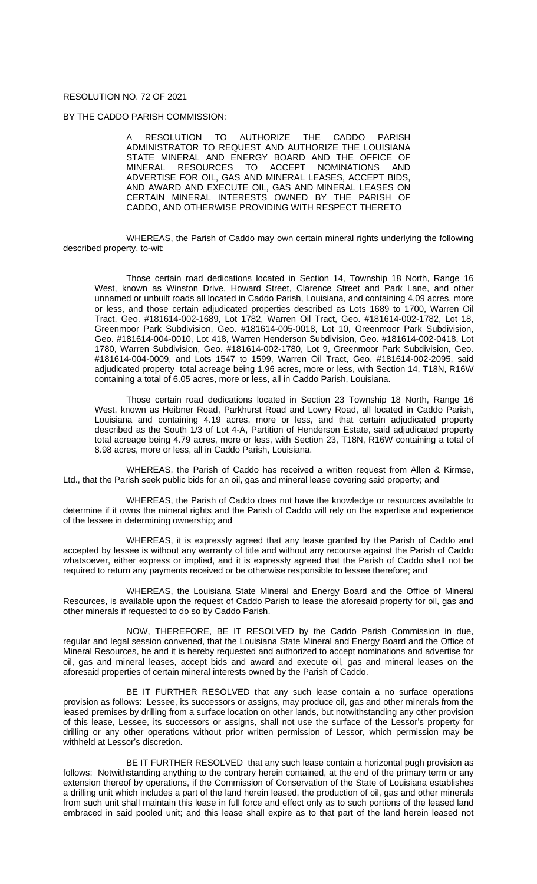## RESOLUTION NO. 72 OF 2021

BY THE CADDO PARISH COMMISSION:

A RESOLUTION TO AUTHORIZE THE CADDO PARISH ADMINISTRATOR TO REQUEST AND AUTHORIZE THE LOUISIANA STATE MINERAL AND ENERGY BOARD AND THE OFFICE OF MINERAL RESOURCES TO ACCEPT NOMINATIONS AND RESOURCES TO ACCEPT NOMINATIONS ADVERTISE FOR OIL, GAS AND MINERAL LEASES, ACCEPT BIDS, AND AWARD AND EXECUTE OIL, GAS AND MINERAL LEASES ON CERTAIN MINERAL INTERESTS OWNED BY THE PARISH OF CADDO, AND OTHERWISE PROVIDING WITH RESPECT THERETO

WHEREAS, the Parish of Caddo may own certain mineral rights underlying the following described property, to-wit:

Those certain road dedications located in Section 14, Township 18 North, Range 16 West, known as Winston Drive, Howard Street, Clarence Street and Park Lane, and other unnamed or unbuilt roads all located in Caddo Parish, Louisiana, and containing 4.09 acres, more or less, and those certain adjudicated properties described as Lots 1689 to 1700, Warren Oil Tract, Geo. #181614-002-1689, Lot 1782, Warren Oil Tract, Geo. #181614-002-1782, Lot 18, Greenmoor Park Subdivision, Geo. #181614-005-0018, Lot 10, Greenmoor Park Subdivision, Geo. #181614-004-0010, Lot 418, Warren Henderson Subdivision, Geo. #181614-002-0418, Lot 1780, Warren Subdivision, Geo. #181614-002-1780, Lot 9, Greenmoor Park Subdivision, Geo. #181614-004-0009, and Lots 1547 to 1599, Warren Oil Tract, Geo. #181614-002-2095, said adjudicated property total acreage being 1.96 acres, more or less, with Section 14, T18N, R16W containing a total of 6.05 acres, more or less, all in Caddo Parish, Louisiana.

Those certain road dedications located in Section 23 Township 18 North, Range 16 West, known as Heibner Road, Parkhurst Road and Lowry Road, all located in Caddo Parish, Louisiana and containing 4.19 acres, more or less, and that certain adjudicated property described as the South 1/3 of Lot 4-A, Partition of Henderson Estate, said adjudicated property total acreage being 4.79 acres, more or less, with Section 23, T18N, R16W containing a total of 8.98 acres, more or less, all in Caddo Parish, Louisiana.

WHEREAS, the Parish of Caddo has received a written request from Allen & Kirmse, Ltd., that the Parish seek public bids for an oil, gas and mineral lease covering said property; and

WHEREAS, the Parish of Caddo does not have the knowledge or resources available to determine if it owns the mineral rights and the Parish of Caddo will rely on the expertise and experience of the lessee in determining ownership; and

WHEREAS, it is expressly agreed that any lease granted by the Parish of Caddo and accepted by lessee is without any warranty of title and without any recourse against the Parish of Caddo whatsoever, either express or implied, and it is expressly agreed that the Parish of Caddo shall not be required to return any payments received or be otherwise responsible to lessee therefore; and

WHEREAS, the Louisiana State Mineral and Energy Board and the Office of Mineral Resources, is available upon the request of Caddo Parish to lease the aforesaid property for oil, gas and other minerals if requested to do so by Caddo Parish.

NOW, THEREFORE, BE IT RESOLVED by the Caddo Parish Commission in due, regular and legal session convened, that the Louisiana State Mineral and Energy Board and the Office of Mineral Resources, be and it is hereby requested and authorized to accept nominations and advertise for oil, gas and mineral leases, accept bids and award and execute oil, gas and mineral leases on the aforesaid properties of certain mineral interests owned by the Parish of Caddo.

BE IT FURTHER RESOLVED that any such lease contain a no surface operations provision as follows: Lessee, its successors or assigns, may produce oil, gas and other minerals from the leased premises by drilling from a surface location on other lands, but notwithstanding any other provision of this lease, Lessee, its successors or assigns, shall not use the surface of the Lessor's property for drilling or any other operations without prior written permission of Lessor, which permission may be withheld at Lessor's discretion.

BE IT FURTHER RESOLVED that any such lease contain a horizontal pugh provision as follows: Notwithstanding anything to the contrary herein contained, at the end of the primary term or any extension thereof by operations, if the Commission of Conservation of the State of Louisiana establishes a drilling unit which includes a part of the land herein leased, the production of oil, gas and other minerals from such unit shall maintain this lease in full force and effect only as to such portions of the leased land embraced in said pooled unit; and this lease shall expire as to that part of the land herein leased not